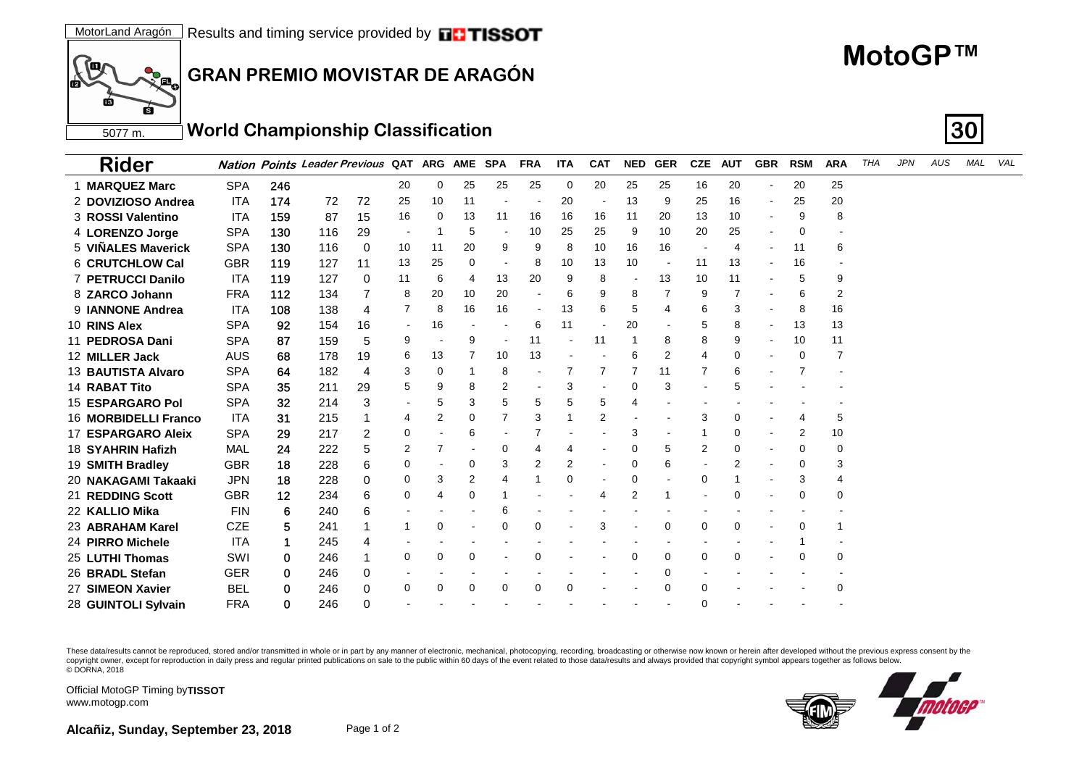## **MotoGP™**

**GRAN PREMIO MOVISTAR DE ARAGÓN**

## 5077 m. **World Championship Classification 30**

| <b>Rider</b>             |            |     | <b>Nation Points Leader Previous QAT ARG</b> |    |                          |    | <b>AME</b> | <b>SPA</b>     | <b>FRA</b>     | ITA | <b>CAT</b>               | <b>NED</b> | <b>GER</b> | <b>CZE</b>     | <b>AUT</b> | <b>GBR</b>               | <b>RSM</b> | <b>ARA</b> | <b>THA</b> | <b>JPN</b> | AUS | MAL | VAL |
|--------------------------|------------|-----|----------------------------------------------|----|--------------------------|----|------------|----------------|----------------|-----|--------------------------|------------|------------|----------------|------------|--------------------------|------------|------------|------------|------------|-----|-----|-----|
| 1 MARQUEZ Marc           | <b>SPA</b> | 246 |                                              |    | 20                       | 0  | 25         | 25             | 25             | 0   | 20                       | 25         | 25         | 16             | 20         | $\overline{\phantom{a}}$ | 20         | 25         |            |            |     |     |     |
| 2 DOVIZIOSO Andrea       | <b>ITA</b> | 174 | 72                                           | 72 | 25                       | 10 | 11         |                |                | 20  |                          | 13         | 9          | 25             | 16         |                          | 25         | 20         |            |            |     |     |     |
| 3 ROSSI Valentino        | <b>ITA</b> | 159 | 87                                           | 15 | 16                       | 0  | 13         | 11             | 16             | 16  | 16                       | 11         | 20         | 13             | 10         |                          | 9          | 8          |            |            |     |     |     |
| 4 LORENZO Jorge          | <b>SPA</b> | 130 | 116                                          | 29 |                          |    | 5          | $\sim$         | 10             | 25  | 25                       | 9          | 10         | 20             | 25         |                          | 0          |            |            |            |     |     |     |
| 5 VINALES Maverick       | <b>SPA</b> | 130 | 116                                          | 0  | 10                       | 11 | 20         | 9              | 9              | 8   | 10                       | 16         | 16         |                | 4          |                          | 11         | 6          |            |            |     |     |     |
| 6 CRUTCHLOW Cal          | <b>GBR</b> | 119 | 127                                          | 11 | 13                       | 25 | 0          | $\blacksquare$ | 8              | 10  | 13                       | 10         |            | 11             | 13         |                          | 16         |            |            |            |     |     |     |
| <b>7 PETRUCCI Danilo</b> | ITA        | 119 | 127                                          | 0  | 11                       | 6  |            | 13             | 20             | 9   | 8                        |            | 13         | 10             | 11         |                          | 5          | 9          |            |            |     |     |     |
| 8 ZARCO Johann           | <b>FRA</b> | 112 | 134                                          |    | 8                        | 20 | 10         | 20             | ٠              | 6   | 9                        | 8          | 7          | 9              |            |                          | 6          | 2          |            |            |     |     |     |
| 9 IANNONE Andrea         | ITA        | 108 | 138                                          | 4  | 7                        | 8  | 16         | 16             | $\blacksquare$ | 13  | 6                        | 5          | 4          | 6              | 3          |                          | 8          | 16         |            |            |     |     |     |
| 10 RINS Alex             | <b>SPA</b> | 92  | 154                                          | 16 | $\overline{\phantom{a}}$ | 16 |            |                | 6              | 11  |                          | 20         |            | 5              | 8          |                          | 13         | 13         |            |            |     |     |     |
| 11 PEDROSA Dani          | <b>SPA</b> | 87  | 159                                          | 5  | 9                        |    | 9          |                | 11             |     | 11                       |            | 8          | 8              | 9          |                          | 10         | 11         |            |            |     |     |     |
| 12 MILLER Jack           | AUS        | 68  | 178                                          | 19 | 6                        | 13 |            | 10             | 13             |     |                          | 6          | 2          | $\overline{4}$ | 0          |                          | 0          |            |            |            |     |     |     |
| 13 BAUTISTA Alvaro       | <b>SPA</b> | 64  | 182                                          | 4  | 3                        | 0  |            | 8              |                |     | 7                        |            | 11         |                | 6          |                          |            |            |            |            |     |     |     |
| 14 RABAT Tito            | <b>SPA</b> | 35  | 211                                          | 29 | 5                        | 9  |            | 2              | $\blacksquare$ | 3   |                          | $\Omega$   | 3          |                |            |                          |            |            |            |            |     |     |     |
| <b>15 ESPARGARO Pol</b>  | <b>SPA</b> | 32  | 214                                          | 3  |                          | 5  | 3          | 5              | 5              | 5   | 5                        |            |            |                |            |                          |            |            |            |            |     |     |     |
| 16 MORBIDELLI Franco     | ITA        | 31  | 215                                          |    | 4                        | 2  | 0          |                | 3              |     | 2                        |            |            | 3              | 0          |                          |            | 5          |            |            |     |     |     |
| 17 ESPARGARO Aleix       | <b>SPA</b> | 29  | 217                                          | 2  | 0                        |    | 6          |                | 7              |     |                          | 3          |            |                | 0          |                          | 2          | 10         |            |            |     |     |     |
| 18 SYAHRIN Hafizh        | MAL        | 24  | 222                                          | 5  | 2                        |    |            | 0              | 4              | 4   |                          | 0          | 5          | 2              | 0          |                          | 0          | 0          |            |            |     |     |     |
| 19 SMITH Bradley         | <b>GBR</b> | 18  | 228                                          | 6  | 0                        |    | 0          | 3              | 2              | 2   | $\overline{\phantom{a}}$ | $\Omega$   | 6          |                | 2          |                          | 0          |            |            |            |     |     |     |
| 20  NAKAGAMI Takaaki     | <b>JPN</b> | 18  | 228                                          | 0  | 0                        | 3  | 2          | 4              | 1              | 0   |                          | 0          |            | 0              |            |                          | 3          | 4          |            |            |     |     |     |
| 21 REDDING Scott         | <b>GBR</b> | 12  | 234                                          | 6  | 0                        | 4  | 0          |                |                |     | 4                        | 2          |            |                | 0          |                          | 0          | ი          |            |            |     |     |     |
| 22 KALLIO Mika           | <b>FIN</b> | 6   | 240                                          | 6  |                          |    |            | 6              |                |     |                          |            |            |                |            |                          |            |            |            |            |     |     |     |
| 23 ABRAHAM Karel         | <b>CZE</b> | 5   | 241                                          |    |                          | 0  |            | 0              | 0              |     | 3                        |            | 0          | 0              | 0          |                          | 0          |            |            |            |     |     |     |
| 24 PIRRO Michele         | <b>ITA</b> | 1   | 245                                          | 4  |                          |    |            |                |                |     |                          |            |            |                |            |                          |            |            |            |            |     |     |     |
| 25 LUTHI Thomas          | SWI        | 0   | 246                                          |    | 0                        | 0  | 0          |                | 0              |     |                          | $\Omega$   | 0          | 0              | 0          |                          | 0          | 0          |            |            |     |     |     |
| 26 BRADL Stefan          | GER        | 0   | 246                                          | 0  |                          |    |            |                |                |     |                          |            | 0          |                |            |                          |            |            |            |            |     |     |     |
| 27 SIMEON Xavier         | BEL        | 0   | 246                                          | 0  | 0                        | 0  | 0          | 0              | 0              | 0   |                          |            | 0          | 0              |            |                          |            | 0          |            |            |     |     |     |
| 28 GUINTOLI Sylvain      | FRA        | 0   | 246                                          | 0  |                          |    |            |                |                |     |                          |            |            | 0              |            |                          |            |            |            |            |     |     |     |

These data/results cannot be reproduced, stored and/or transmitted in whole or in part by any manner of electronic, mechanical, photocopying, recording, broadcasting or otherwise now known or herein after developed without copyright owner, except for reproduction in daily press and regular printed publications on sale to the public within 60 days of the event related to those data/results and always provided that copyright symbol appears tog © DORNA, 2018



Official MotoGP Timing by **TISSOT**www.motogp.com

 $\mathcal{L}_{\mathbf{a}_\mathbf{c}}$ 

Ć

ſш ٢b

ГŔ